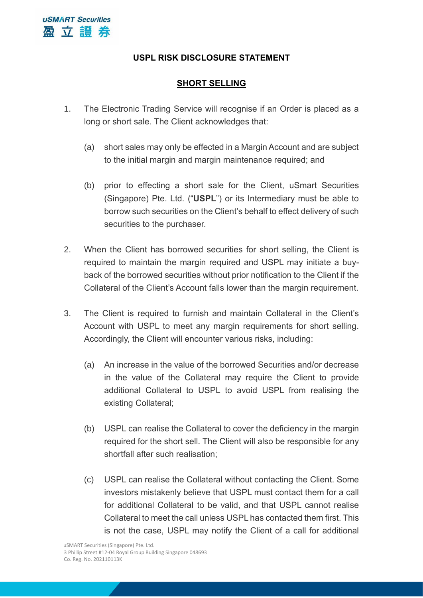## **USPL RISK DISCLOSURE STATEMENT**

## **SHORT SELLING**

- 1. The Electronic Trading Service will recognise if an Order is placed as a long or short sale. The Client acknowledges that:
	- (a) short sales may only be effected in a Margin Account and are subject to the initial margin and margin maintenance required; and
	- (b) prior to effecting a short sale for the Client, uSmart Securities (Singapore) Pte. Ltd. ("**USPL**") or its Intermediary must be able to borrow such securities on the Client's behalf to effect delivery of such securities to the purchaser.
- 2. When the Client has borrowed securities for short selling, the Client is required to maintain the margin required and USPL may initiate a buyback of the borrowed securities without prior notification to the Client if the Collateral of the Client's Account falls lower than the margin requirement.
- 3. The Client is required to furnish and maintain Collateral in the Client's Account with USPL to meet any margin requirements for short selling. Accordingly, the Client will encounter various risks, including:
	- (a) An increase in the value of the borrowed Securities and/or decrease in the value of the Collateral may require the Client to provide additional Collateral to USPL to avoid USPL from realising the existing Collateral;
	- (b) USPL can realise the Collateral to cover the deficiency in the margin required for the short sell. The Client will also be responsible for any shortfall after such realisation;
	- (c) USPL can realise the Collateral without contacting the Client. Some investors mistakenly believe that USPL must contact them for a call for additional Collateral to be valid, and that USPL cannot realise Collateral to meet the call unless USPL has contacted them first. This is not the case, USPL may notify the Client of a call for additional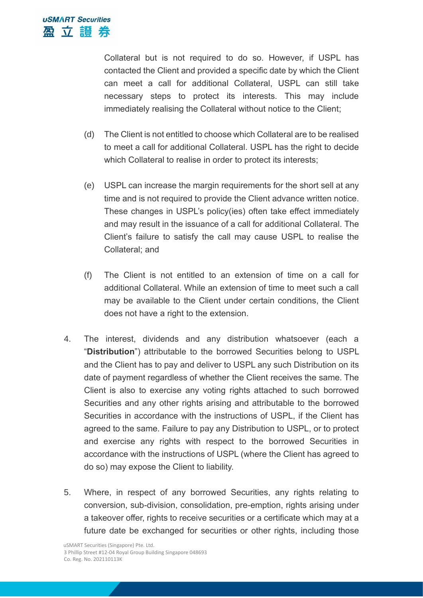Collateral but is not required to do so. However, if USPL has contacted the Client and provided a specific date by which the Client can meet a call for additional Collateral, USPL can still take necessary steps to protect its interests. This may include immediately realising the Collateral without notice to the Client;

- (d) The Client is not entitled to choose which Collateral are to be realised to meet a call for additional Collateral. USPL has the right to decide which Collateral to realise in order to protect its interests;
- (e) USPL can increase the margin requirements for the short sell at any time and is not required to provide the Client advance written notice. These changes in USPL's policy(ies) often take effect immediately and may result in the issuance of a call for additional Collateral. The Client's failure to satisfy the call may cause USPL to realise the Collateral; and
- (f) The Client is not entitled to an extension of time on a call for additional Collateral. While an extension of time to meet such a call may be available to the Client under certain conditions, the Client does not have a right to the extension.
- 4. The interest, dividends and any distribution whatsoever (each a "**Distribution**") attributable to the borrowed Securities belong to USPL and the Client has to pay and deliver to USPL any such Distribution on its date of payment regardless of whether the Client receives the same. The Client is also to exercise any voting rights attached to such borrowed Securities and any other rights arising and attributable to the borrowed Securities in accordance with the instructions of USPL, if the Client has agreed to the same. Failure to pay any Distribution to USPL, or to protect and exercise any rights with respect to the borrowed Securities in accordance with the instructions of USPL (where the Client has agreed to do so) may expose the Client to liability.
- 5. Where, in respect of any borrowed Securities, any rights relating to conversion, sub-division, consolidation, pre-emption, rights arising under a takeover offer, rights to receive securities or a certificate which may at a future date be exchanged for securities or other rights, including those